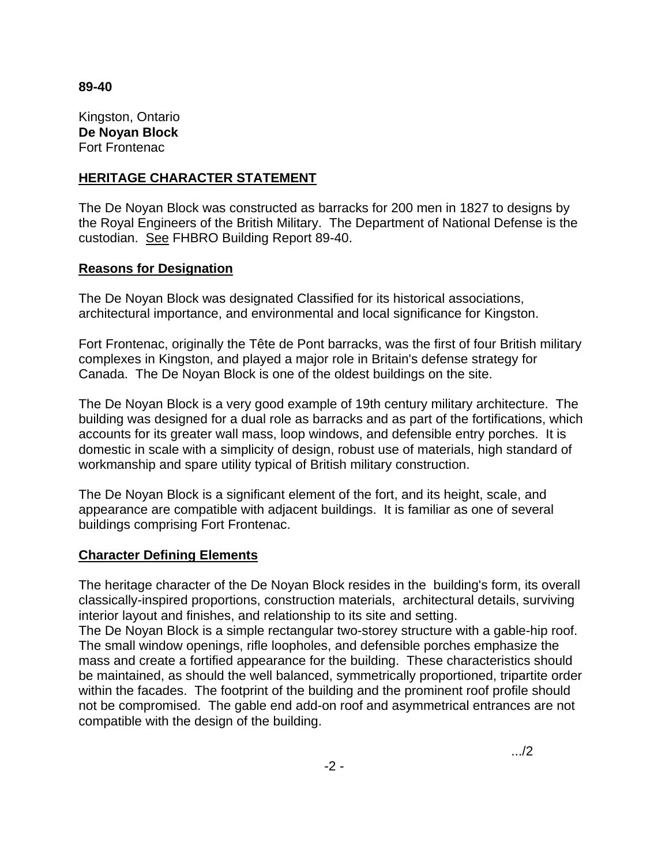## **89-40**

Kingston, Ontario **De Noyan Block** Fort Frontenac

## **HERITAGE CHARACTER STATEMENT**

The De Noyan Block was constructed as barracks for 200 men in 1827 to designs by the Royal Engineers of the British Military. The Department of National Defense is the custodian. See FHBRO Building Report 89-40.

# **Reasons for Designation**

The De Noyan Block was designated Classified for its historical associations, architectural importance, and environmental and local significance for Kingston.

Fort Frontenac, originally the Tête de Pont barracks, was the first of four British military complexes in Kingston, and played a major role in Britain's defense strategy for Canada. The De Noyan Block is one of the oldest buildings on the site.

The De Noyan Block is a very good example of 19th century military architecture. The building was designed for a dual role as barracks and as part of the fortifications, which accounts for its greater wall mass, loop windows, and defensible entry porches. It is domestic in scale with a simplicity of design, robust use of materials, high standard of workmanship and spare utility typical of British military construction.

The De Noyan Block is a significant element of the fort, and its height, scale, and appearance are compatible with adjacent buildings. It is familiar as one of several buildings comprising Fort Frontenac.

# **Character Defining Elements**

The heritage character of the De Noyan Block resides in the building's form, its overall classically-inspired proportions, construction materials, architectural details, surviving interior layout and finishes, and relationship to its site and setting.

The De Noyan Block is a simple rectangular two-storey structure with a gable-hip roof. The small window openings, rifle loopholes, and defensible porches emphasize the mass and create a fortified appearance for the building. These characteristics should be maintained, as should the well balanced, symmetrically proportioned, tripartite order within the facades. The footprint of the building and the prominent roof profile should not be compromised. The gable end add-on roof and asymmetrical entrances are not compatible with the design of the building.

.../2